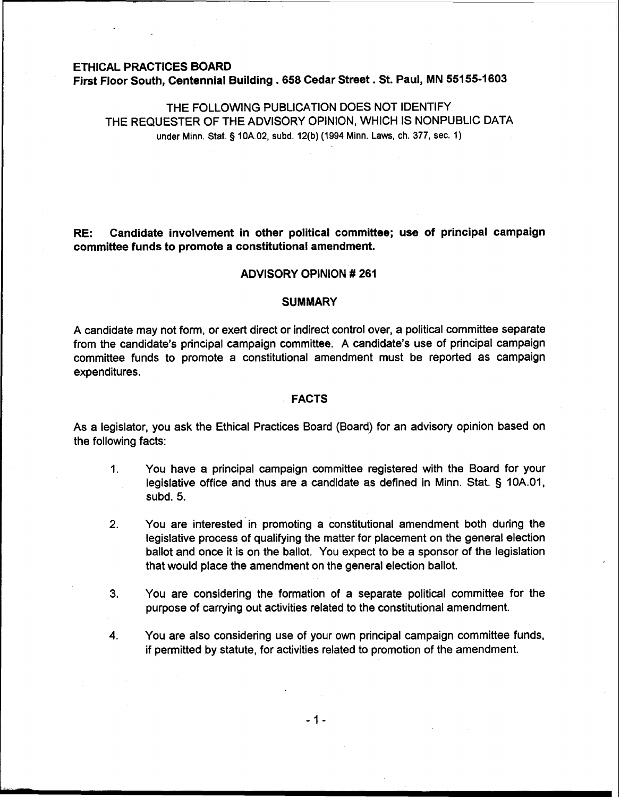### **ETHICAL PRACTICES BOARD**

**First Floor South, Centennial Building** . **658 Cedar Street** . **St. Paul, MN 551 55-1 603** 

# THE FOLLOWING PUBLICATION DOES NOT IDENTIFY THE REQUESTER OF THE ADVISORY OPINION, WHICH IS NONPUBLIC DATA **under Minn.** Stat. § **10A.02, subd. 12(b) (1994 Minn. Laws, ch. 377, sec. 1)**

**RE: Candidate involvement in other political committee; use of principal campaign committee funds to promote a constitutional amendment.** 

#### **ADVISORY OPINION** # **261**

### **SUMMARY**

A candidate may not form, or exert direct or indirect control over, a political committee separate from the candidate's principal campaign committee. A candidate's use of principal campaign committee funds to promote a constitutional amendment must be reported as campaign expenditures.

#### **FACTS**

As a legislator, you ask the Ethical Practices Board (Board) for an advisory opinion based on the following facts:

- 1. You have a principal campaign committee registered with the Board for your legislative office and thus are a candidate as defined in Minn. Stat. § 10A.01, subd. 5.
- **2.** You are interested in promoting a constitutional amendment both during the legislative process of qualifying the matter for placement on the general election ballot and once it is on the ballot. You expect to be a sponsor of the legislation that would place the amendment on the general election ballot.
- **3.** You are considering the formation of a separate political committee for the purpose of carrying out activities related to the constitutional amendment.
- **4.** You are also considering use of your own principal campaign committee funds, if permitted by statute, for activities related to promotion of the amendment.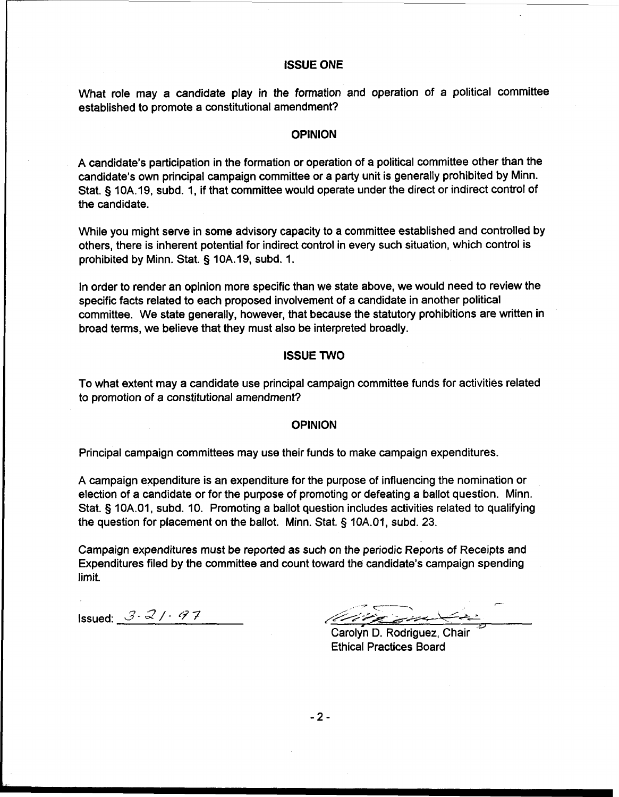# **ISSUE ONE**

What role may a candidate play in the formation and operation of a political committee established to promote a constitutional amendment?

### **OPINION**

A candidate's participation in the formation or operation of a political committee other than the candidate's own principal campaign committee or a party unit is generally prohibited by Minn. Stat. § 10A.19, subd. 1, if that committee would operate under the direct or indirect control of the candidate.

While you might serve in some advisory capacity to a committee established and controlled by others, there is inherent potential for indirect control in every such situation, which control is prohibited by Minn. Stat. § 10A.19, subd. 1.

In order to render an opinion more specific than we state above, we would need to review the specific facts related to each proposed involvement of a candidate in another political committee. We state generally, however, that because the statutory prohibitions are written in broad terms, we believe that they must also be interpreted broadly.

### **ISSUE TWO**

To what extent may a candidate use principal campaign committee funds for activities related to promotion of a constitutional amendment?

#### **OPINION**

Principal campaign committees may use their funds to make campaign expenditures.

A campaign expenditure is an expenditure for the purpose of influencing the nomination or election of a candidate or for the purpose of promoting or defeating a ballot question. Minn. Stat. § 10A.01, subd. 10. Promoting a ballot question includes activities related to qualifying the question for placement on the ballot. Minn. Stat. § 10A.01, subd. 23.

Campaign expenditures must be reported as such on the periodic Reports of Receipts and Expenditures filed by the committee and count toward the candidate's campaign spending limit.

Issued: 3-2/-97

**s** -

Carolyn D. Rodriguez, Chair Ethical Practices Board

 $-2-$